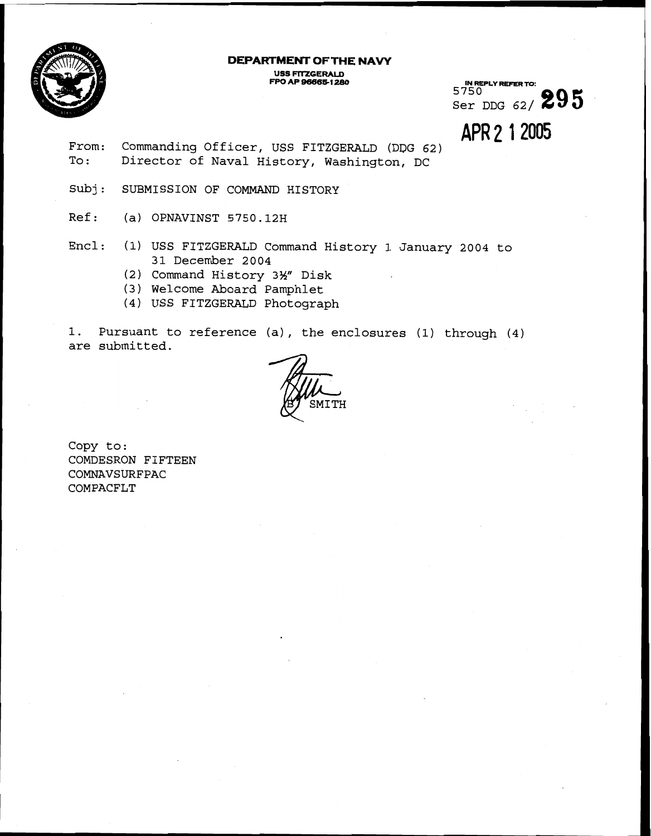

# **DEPARTMENT OF THE NAVY**

**USS FITZGERALD<br>
<b>FPO AP 96665-1280 FPO AP 966881 888 IN REPLY REFER M:** 

5750 Ser DDG 62/ **895** 

**APR 2** 1 2005

- From: Commanding Officer, USS FITZGERALD **(DDG** 62) To: Director of Naval History, Washington, DC
- Subj: SUBMISSION OF COMMAND HISTORY
- Ref: (a) OPNAVINST 5750.12H
- Encl: (1) USS FITZGERALD Command History 1 January 2004 to 31 December 2004
	- (2) Command History 3%" Disk
	- (3) Welcome Aboard Pamphlet
	- ( 4 ) USS FITZGERALD Photograph

1. Pursuant to reference (a) , the enclosures (1) through (4) are submitted.



Copy to: COMDESRON FIFTEEN COMNAVSURFPAC COMPACFLT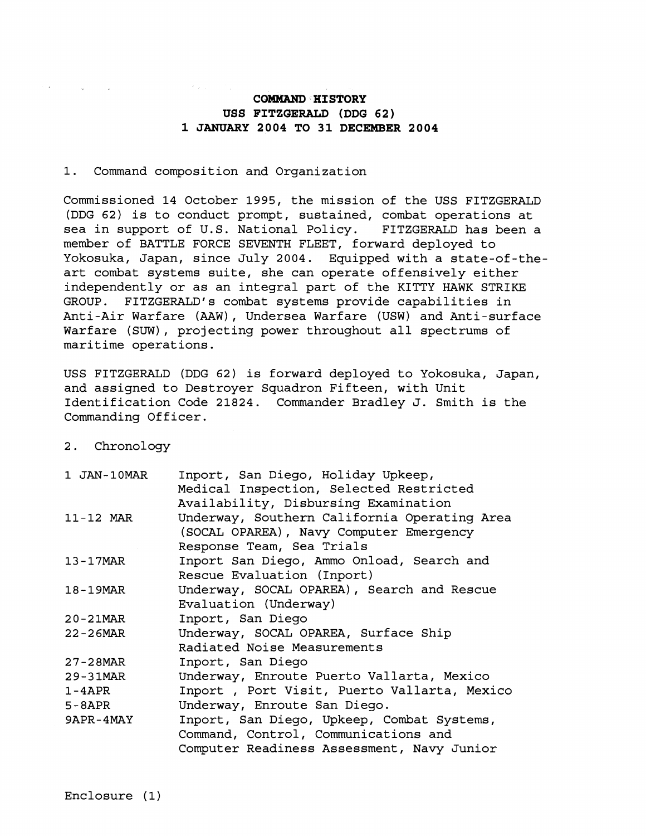## **COMMAND HISTORY** USS FITZGERALD (DDG 62) **1 JANUARY 2004 20 31 DECEMBER 2004**

#### 1. Command composition and Organization

Commissioned 14 October 1995, the mission of the USS FITZGERALD (DDG 62) is to conduct prompt, sustained, combat operations at sea in support of U.S. National Policy. FITZGERALD has been a member of BATTLE FORCE SEVENTH FLEET, forward deployed to Yokosuka, Japan, since July 2004. Equipped with a state-of-theart combat systems suite, she can operate offensively either independently or as an integral part of the KITTY HAWK STRIKE GROUP. FITZGERALD's combat systems provide capabilities in Anti-Air Warfare (AAW), Undersea Warfare (USW) and Anti-surface Warfare (SUW), projecting power throughout all spectrums of maritime operations.

USS FITZGERALD (DDG 62) is forward deployed to Yokosuka, Japan, and assigned to Destroyer Squadron Fifteen, with Unit Identification Code 21824. Commander Bradley J. Smith is the Commanding Officer.

#### <sup>2</sup>. Chronology

| 1 JAN-10MAR | Inport, San Diego, Holiday Upkeep,<br>Medical Inspection, Selected Restricted           |
|-------------|-----------------------------------------------------------------------------------------|
|             | Availability, Disbursing Examination                                                    |
| 11-12 MAR   | Underway, Southern California Operating Area<br>(SOCAL OPAREA), Navy Computer Emergency |
|             | Response Team, Sea Trials                                                               |
| 13-17MAR    | Inport San Diego, Ammo Onload, Search and                                               |
|             | Rescue Evaluation (Inport)                                                              |
| 18-19MAR    | Underway, SOCAL OPAREA), Search and Rescue                                              |
|             | Evaluation (Underway)                                                                   |
| 20-21MAR    | Inport, San Diego                                                                       |
| 22-26MAR    | Underway, SOCAL OPAREA, Surface Ship                                                    |
|             | Radiated Noise Measurements                                                             |
| 27-28MAR    | Inport, San Diego                                                                       |
| 29-31MAR    | Underway, Enroute Puerto Vallarta, Mexico                                               |
| $1 - 4APR$  | Inport, Port Visit, Puerto Vallarta, Mexico                                             |
| $5 - 8APR$  | Underway, Enroute San Diego.                                                            |
| 9APR-4MAY   | Inport, San Diego, Upkeep, Combat Systems,                                              |
|             | Command, Control, Communications and                                                    |
|             | Computer Readiness Assessment, Navy Junior                                              |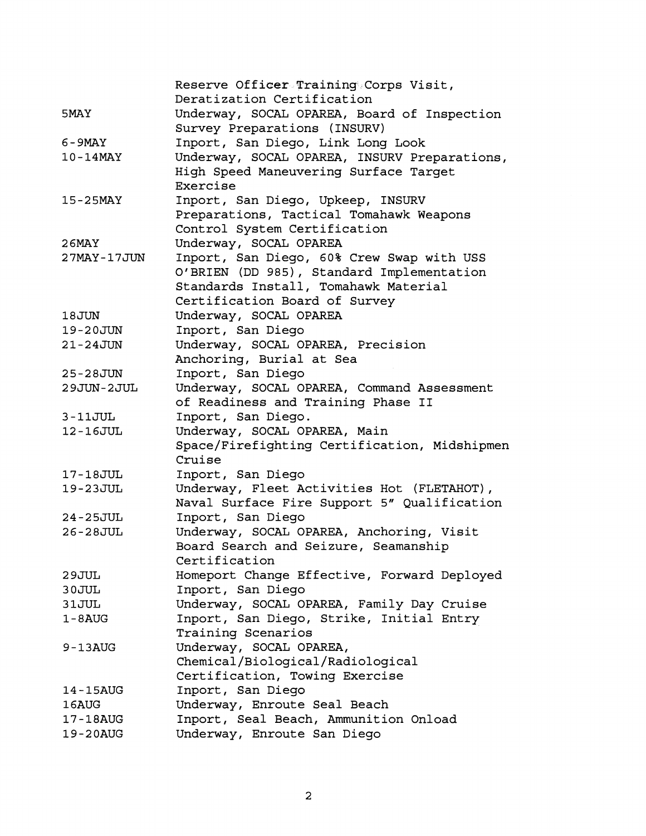|               | Reserve Officer Training Corps Visit,        |
|---------------|----------------------------------------------|
|               | Deratization Certification                   |
| 5MAY          | Underway, SOCAL OPAREA, Board of Inspection  |
|               | Survey Preparations (INSURV)                 |
| 6-9MAY        | Inport, San Diego, Link Long Look            |
| $10-14$ MAY   | Underway, SOCAL OPAREA, INSURV Preparations, |
|               | High Speed Maneuvering Surface Target        |
|               | Exercise                                     |
| $15 - 25$ MAY | Inport, San Diego, Upkeep, INSURV            |
|               | Preparations, Tactical Tomahawk Weapons      |
|               | Control System Certification                 |
| <b>26MAY</b>  | Underway, SOCAL OPAREA                       |
| 27MAY-17JUN   | Inport, San Diego, 60% Crew Swap with USS    |
|               | O'BRIEN (DD 985), Standard Implementation    |
|               | Standards Install, Tomahawk Material         |
|               | Certification Board of Survey                |
| 18JUN         | Underway, SOCAL OPAREA                       |
| 19-20JUN      | Inport, San Diego                            |
| $21 - 24JUN$  | Underway, SOCAL OPAREA, Precision            |
|               | Anchoring, Burial at Sea                     |
| 25-28JUN      | Inport, San Diego                            |
| 29JUN-2JUL    | Underway, SOCAL OPAREA, Command Assessment   |
|               | of Readiness and Training Phase II           |
| $3 - 11JUL$   | Inport, San Diego.                           |
| 12-16JUL      | Underway, SOCAL OPAREA, Main                 |
|               | Space/Firefighting Certification, Midshipmen |
|               | Cruise                                       |
| 17-18JUL      | Inport, San Diego                            |
| 19-23JUL      | Underway, Fleet Activities Hot (FLETAHOT),   |
|               | Naval Surface Fire Support 5" Qualification  |
| $24 - 25JUL$  | Inport, San Diego                            |
| $26 - 28JUL$  | Underway, SOCAL OPAREA, Anchoring, Visit     |
|               | Board Search and Seizure, Seamanship         |
|               | Certification                                |
| 29JUL         | Homeport Change Effective, Forward Deployed  |
| 30JUL         | Inport, San Diego                            |
| 31JUL         | Underway, SOCAL OPAREA, Family Day Cruise    |
| $1 - 8$ AUG   | Inport, San Diego, Strike, Initial Entry     |
|               | Training Scenarios                           |
| $9 - 13$ AUG  | Underway, SOCAL OPAREA,                      |
|               | Chemical/Biological/Radiological             |
|               | Certification, Towing Exercise               |
| 14-15AUG      | Inport, San Diego                            |
| 16AUG         | Underway, Enroute Seal Beach                 |
| 17-18AUG      | Inport, Seal Beach, Ammunition Onload        |
| 19-20AUG      | Underway, Enroute San Diego                  |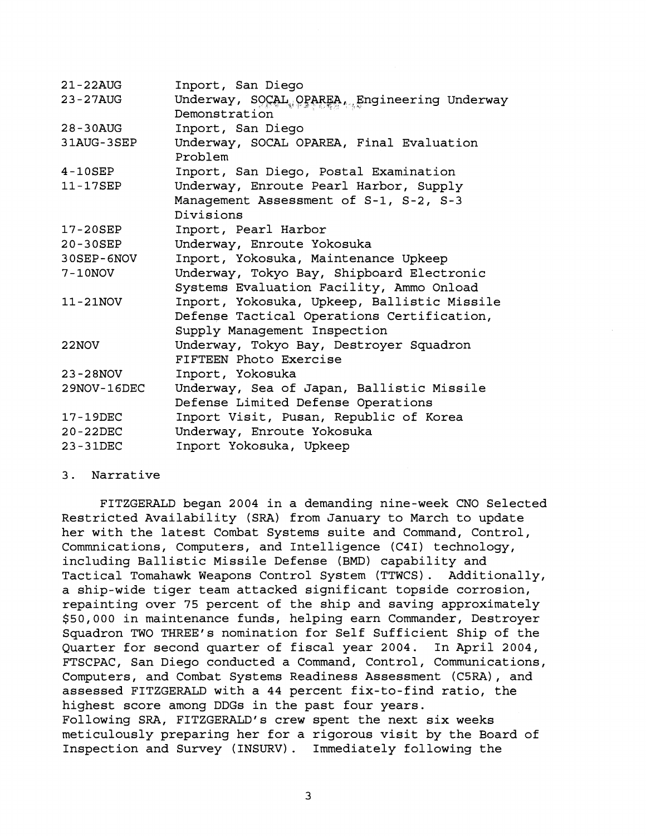| $21 - 22$ AUG | Inport, San Diego                             |
|---------------|-----------------------------------------------|
| 23-27AUG      | Underway, SOCAL, OPAREA, Engineering Underway |
|               | Demonstration                                 |
| $28 - 30$ AUG | Inport, San Diego                             |
| 31AUG-3SEP    | Underway, SOCAL OPAREA, Final Evaluation      |
|               | Problem                                       |
| $4-10$ SEP    | Inport, San Diego, Postal Examination         |
| 11-17SEP      | Underway, Enroute Pearl Harbor, Supply        |
|               | Management Assessment of S-1, S-2, S-3        |
|               | Divisions                                     |
| 17-20SEP      | Inport, Pearl Harbor                          |
| 20-30SEP      | Underway, Enroute Yokosuka                    |
| 30SEP-6NOV    | Inport, Yokosuka, Maintenance Upkeep          |
| 7-10NOV       | Underway, Tokyo Bay, Shipboard Electronic     |
|               | Systems Evaluation Facility, Ammo Onload      |
| 11-21NOV      | Inport, Yokosuka, Upkeep, Ballistic Missile   |
|               | Defense Tactical Operations Certification,    |
|               | Supply Management Inspection                  |
| 22NOV         | Underway, Tokyo Bay, Destroyer Squadron       |
|               | FIFTEEN Photo Exercise                        |
| 23-28NOV      | Inport, Yokosuka                              |
| 29NOV-16DEC   | Underway, Sea of Japan, Ballistic Missile     |
|               | Defense Limited Defense Operations            |
| 17-19DEC      | Inport Visit, Pusan, Republic of Korea        |
| 20-22DEC      | Underway, Enroute Yokosuka                    |
| 23-31DEC      | Inport Yokosuka, Upkeep                       |
|               |                                               |

### 3. Narrative

FITZGERALD began 2004 in a demanding nine-week CNO Selected Restricted Availability (SRA) from January to March to update her with the latest Combat Systems suite and Command, Control, Commnications, Computers, and Intelligence (C4I) technology, including Ballistic Missile Defense (BMD) capability and Tactical Tomahawk Weapons Control System (TTWCS). Additionally, a ship-wide tiger team attacked significant topside corrosion, repainting over 75 percent of the ship and saving approximately \$50,000 in maintenance funds, helping earn Commander, Destroyer Squadron TWO THREE'S nomination for Self Sufficient Ship of the Quarter for second quarter of fiscal year 2004. In April 2004, FTSCPAC, San Diego conducted a Command, Control, Communications, Computers, and Combat Systems Readiness Assessment (CSRA), and assessed FITZGERALD with a 44 percent fix-to-find ratio, the highest score among DDGs in the past four years. Following SRA, FITZGERALD's crew spent the next six weeks meticulously preparing her for a rigorous visit by the Board of Inspection and Survey (INSURV) . Immediately following the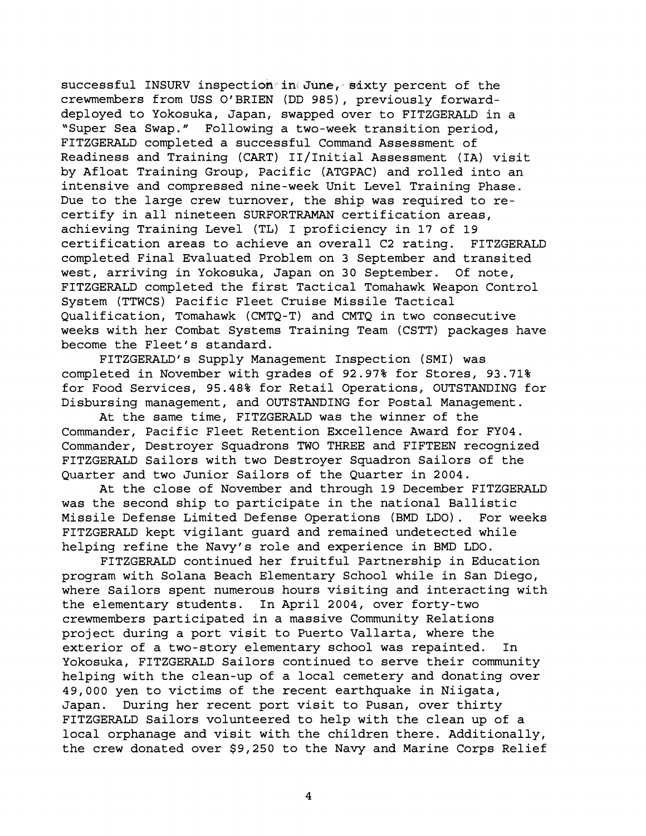successful INSURV inspection in June, sixty percent of the crewmembers from USS O'BRIEN (DD 985), previously forwarddeployed to Yokosuka, Japan, swapped over to FITZGERALD in a "Super Sea Swap." Following a two-week transition period, FITZGERALD completed a successful Command Assessment of Readiness and Training (CART) 11/1nitial Assessment (IA) visit by Afloat Training Group, Pacific (ATGPAC) and rolled into an intensive and compressed nine-week Unit Level Training Phase. Due to the large crew turnover, the ship was required to recertify in all nineteen SURFORTRAMAN certification areas, achieving Training Level (TL) I proficiency in 17 of 19 certification areas to achieve an overall C2 rating. FITZGERALD completed Final Evaluated Problem on 3 September and transited west, arriving in Yokosuka, Japan on 30 September. Of note, FITZGERALD completed the first Tactical Tomahawk Weapon Control System (TTWCS) Pacific Fleet Cruise Missile Tactical Qualification, Tomahawk (CMTQ-T) and CMTQ in two consecutive weeks with her Combat Systems Training Team (CSTT) packages have become the Fleet's standard.

FITZGERALD's Supply Management Inspection (SMI) was completed in November with grades of 92.97% for Stores, 93.71% for Food Services, 95.48% for Retail Operations, OUTSTANDING for Disbursing management, and OUTSTANDING for Postal Management.

At the same time, FITZGERALD was the winner of the Commander, Pacific Fleet Retention Excellence Award for FY04. Commander, Destroyer Squadrons TWO THREE and FIFTEEN recognized FITZGERALD Sailors with two Destroyer Squadron Sailors of the Quarter and two Junior Sailors of the Quarter in 2004.

At the close of November and through 19 December FITZGERALD was the second ship to participate in the national Ballistic Missile Defense Limited Defense Operations (BMD LDO). For weeks FITZGERALD kept vigilant guard and remained undetected while helping refine the Navy's role and experience in BMD LDO.

FITZGERALD continued her fruitful Partnership in Education program with Solana Beach Elementary School while in San Diego, where Sailors spent numerous hours visiting and interacting with the elementary students. In April 2004, over forty-two crewmembers participated in a massive Community Relations project during a port visit to Buerto Vallarta, where the exterior of a two-story elementary school was repainted. In Yokosuka, FITZGERALD Sailors continued to serve their community helping with the clean-up of a local cemetery and donating over 49,000 yen to victims of the recent earthquake in Niigata, Japan. During her recent port visit to Pusan, over thirty FITZGERALD Sailors volunteered to help with the clean up of a local orphanage and visit with the children there. Additionally, the crew donated over \$9,250 to the Navy and Marine Corps Relief